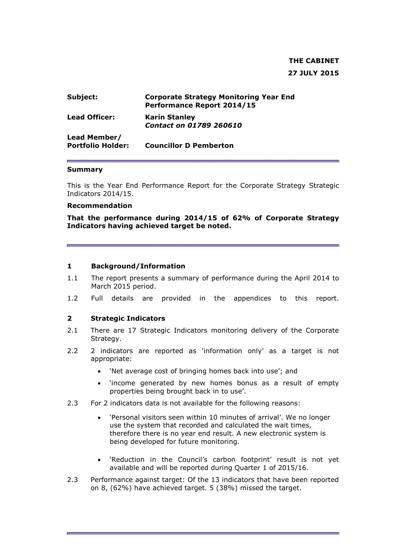# **THE CABINET 27 JULY 2015**

| Subject:                                 | <b>Corporate Strategy Monitoring Year End</b><br>Performance Report 2014/15 |
|------------------------------------------|-----------------------------------------------------------------------------|
| <b>Lead Officer:</b>                     | <b>Karin Stanley</b><br><b>Contact on 01789 260610</b>                      |
| Lead Member/<br><b>Portfolio Holder:</b> | <b>Councillor D Pemberton</b>                                               |

#### **Summary**

This is the Year End Performance Report for the Corporate Strategy Strategic Indicators 2014/15.

#### **Recommendation**

**That the performance during 2014/15 of 62% of Corporate Strategy Indicators having achieved target be noted.** 

#### **1 Background/Information**

- 1.1 The report presents a summary of performance during the April 2014 to March 2015 period.
- 1.2 Full details are provided in the appendices to this report.

#### **2 Strategic Indicators**

- 2.1 There are 17 Strategic Indicators monitoring delivery of the Corporate Strategy.
- 2.2 2 indicators are reported as 'information only' as a target is not appropriate:
	- 'Net average cost of bringing homes back into use'; and
	- 'income generated by new homes bonus as a result of empty properties being brought back in to use'.
- 2.3 For 2 indicators data is not available for the following reasons:
	- 'Personal visitors seen within 10 minutes of arrival'. We no longer use the system that recorded and calculated the wait times, therefore there is no year end result. A new electronic system is being developed for future monitoring.
	- 'Reduction in the Council's carbon footprint' result is not yet available and will be reported during Quarter 1 of 2015/16.
- 2.3 Performance against target: Of the 13 indicators that have been reported on 8, (62%) have achieved target. 5 (38%) missed the target.